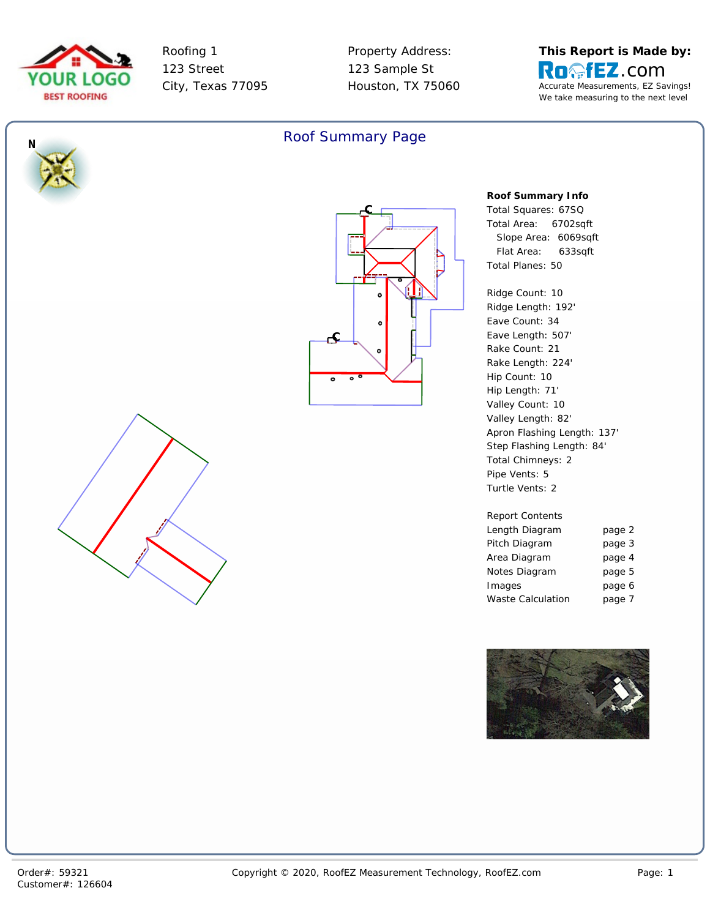

*N*

Roofing 1 123 Street City, Texas 77095 Property Address: 123 Sample St Houston, TX 75060







**Roof Summary Info** *Total Squares: 67SQ Total Area: 6702sqft Slope Area: 6069sqft Flat Area: 633sqft Total Planes: 50*

Ridge Length: 192' Eave Count: 34 Eave Length: 507' Rake Count: 21 Rake Length: 224' Hip Length: 71' Valley Count: 10 Valley Length: 82' Apron Flashing Length: 137' Step Flashing Length: 84' *Total Chimneys: 2 Turtle Vents: 2*

| <b>Report Contents</b> |        |
|------------------------|--------|
| Length Diagram         | page 2 |
| Pitch Diagram          | page 3 |
| Area Diagram           | page 4 |
| Notes Diagram          | page 5 |
| Images                 | page 6 |
| Waste Calculation      | page 7 |

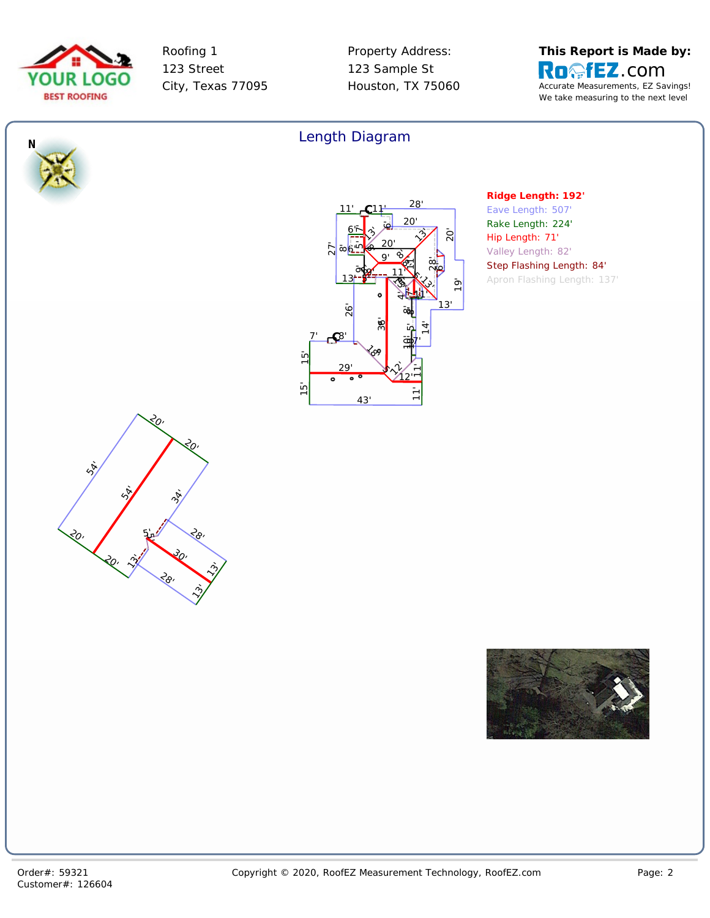



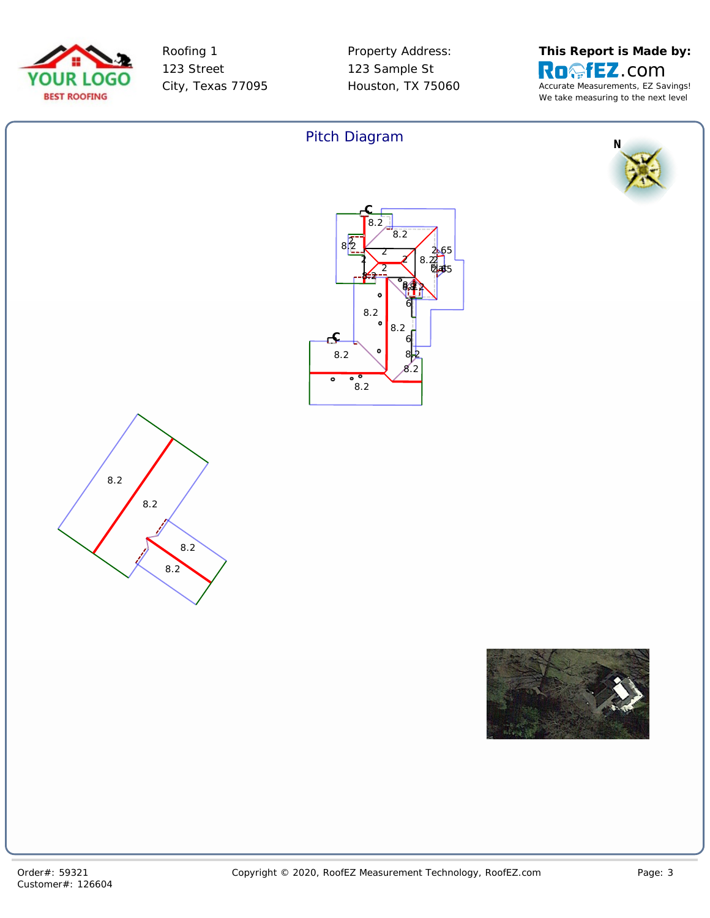



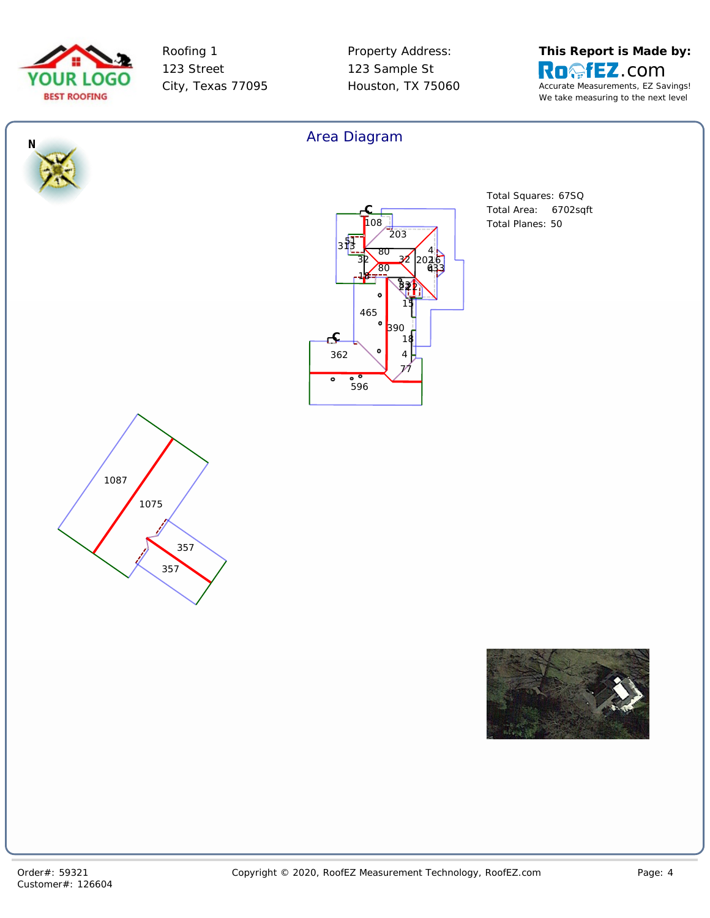



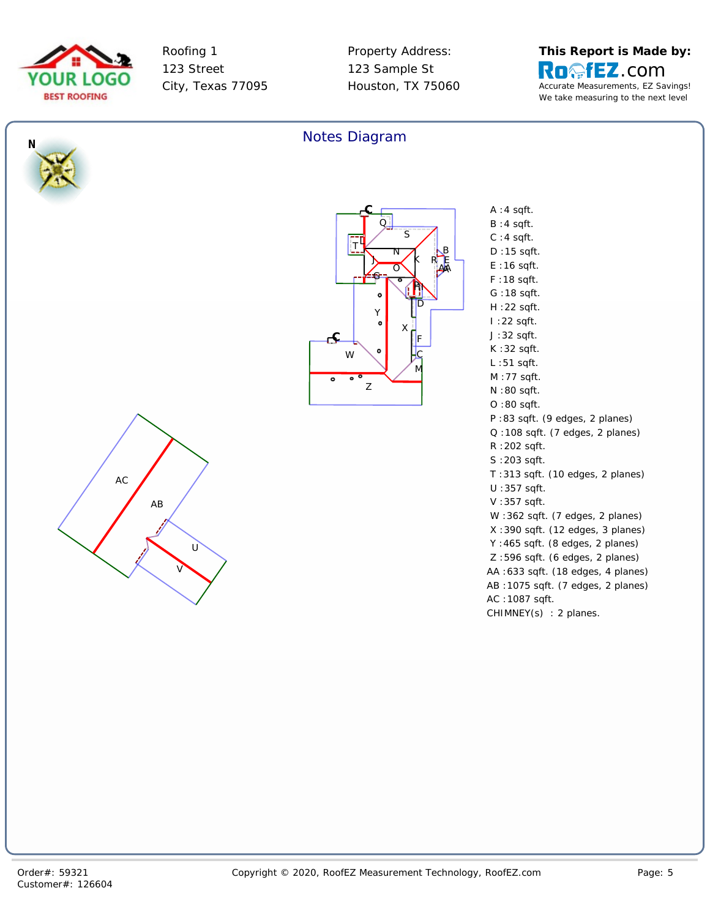



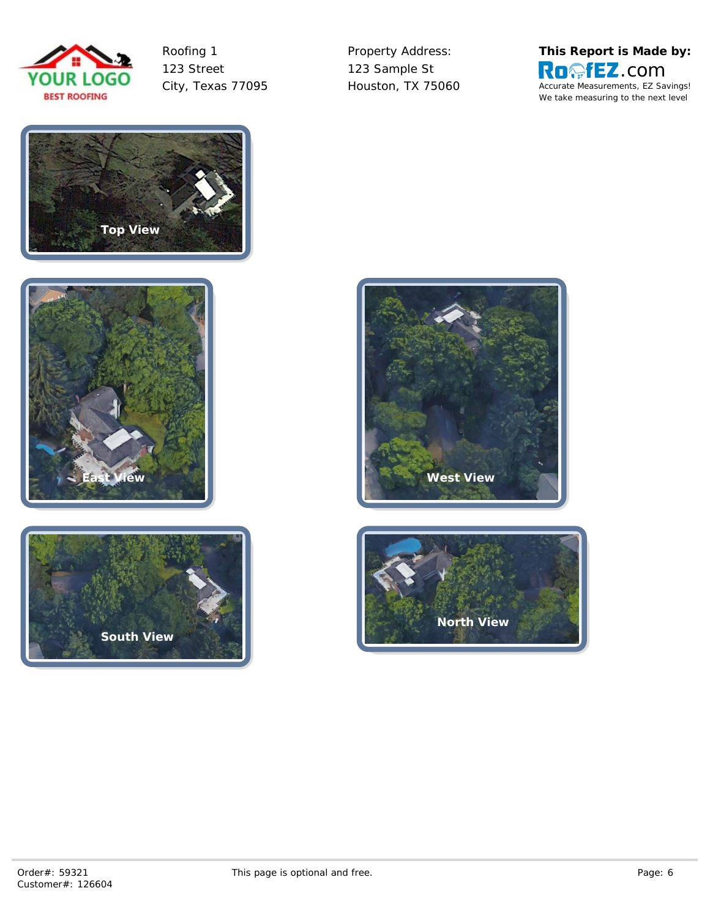